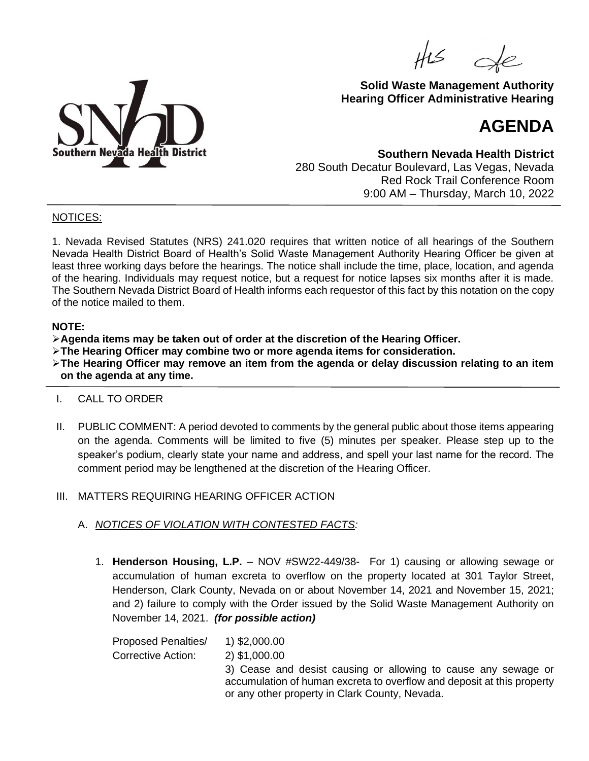$H25$ 



# **Solid Waste Management Authority Hearing Officer Administrative Hearing**

# **AGENDA**

**Southern Nevada Health District** 280 South Decatur Boulevard, Las Vegas, Nevada Red Rock Trail Conference Room 9:00 AM – Thursday, March 10, 2022

#### NOTICES:

1. Nevada Revised Statutes (NRS) 241.020 requires that written notice of all hearings of the Southern Nevada Health District Board of Health's Solid Waste Management Authority Hearing Officer be given at least three working days before the hearings. The notice shall include the time, place, location, and agenda of the hearing. Individuals may request notice, but a request for notice lapses six months after it is made. The Southern Nevada District Board of Health informs each requestor of this fact by this notation on the copy of the notice mailed to them.

#### **NOTE:**

➢**Agenda items may be taken out of order at the discretion of the Hearing Officer.**

➢**The Hearing Officer may combine two or more agenda items for consideration.**

➢**The Hearing Officer may remove an item from the agenda or delay discussion relating to an item on the agenda at any time.**

# I. CALL TO ORDER

II. PUBLIC COMMENT: A period devoted to comments by the general public about those items appearing on the agenda. Comments will be limited to five (5) minutes per speaker. Please step up to the speaker's podium, clearly state your name and address, and spell your last name for the record. The comment period may be lengthened at the discretion of the Hearing Officer.

# III. MATTERS REQUIRING HEARING OFFICER ACTION

- A. *NOTICES OF VIOLATION WITH CONTESTED FACTS:*
	- 1. **Henderson Housing, L.P.** NOV #SW22-449/38- For 1) causing or allowing sewage or accumulation of human excreta to overflow on the property located at 301 Taylor Street, Henderson, Clark County, Nevada on or about November 14, 2021 and November 15, 2021; and 2) failure to comply with the Order issued by the Solid Waste Management Authority on November 14, 2021. *(for possible action)*

Proposed Penalties/ 1) \$2,000.00 Corrective Action: 2) \$1,000.00 3) Cease and desist causing or allowing to cause any sewage or accumulation of human excreta to overflow and deposit at this property or any other property in Clark County, Nevada.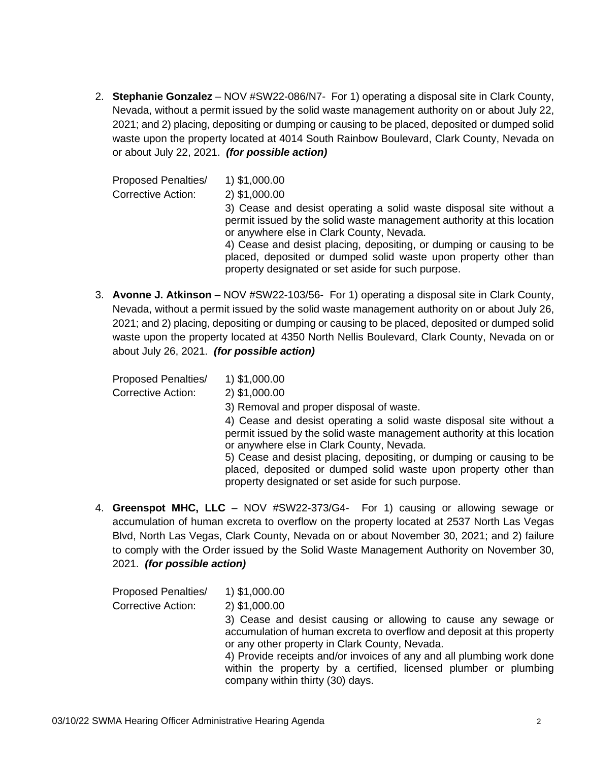2. **Stephanie Gonzalez** – NOV #SW22-086/N7- For 1) operating a disposal site in Clark County, Nevada, without a permit issued by the solid waste management authority on or about July 22, 2021; and 2) placing, depositing or dumping or causing to be placed, deposited or dumped solid waste upon the property located at 4014 South Rainbow Boulevard, Clark County, Nevada on or about July 22, 2021. *(for possible action)*

| <b>Proposed Penalties/</b> | 1) \$1,000.00                                                                                                                                                                                  |
|----------------------------|------------------------------------------------------------------------------------------------------------------------------------------------------------------------------------------------|
| <b>Corrective Action:</b>  | 2) \$1,000.00                                                                                                                                                                                  |
|                            | 3) Cease and desist operating a solid waste disposal site without a<br>permit issued by the solid waste management authority at this location<br>or anywhere else in Clark County, Nevada.     |
|                            | 4) Cease and desist placing, depositing, or dumping or causing to be<br>placed, deposited or dumped solid waste upon property other than<br>property designated or set aside for such purpose. |

3. **Avonne J. Atkinson** – NOV #SW22-103/56- For 1) operating a disposal site in Clark County, Nevada, without a permit issued by the solid waste management authority on or about July 26, 2021; and 2) placing, depositing or dumping or causing to be placed, deposited or dumped solid waste upon the property located at 4350 North Nellis Boulevard, Clark County, Nevada on or about July 26, 2021. *(for possible action)*

Proposed Penalties/ 1) \$1,000.00 Corrective Action: 2) \$1,000.00

3) Removal and proper disposal of waste.

4) Cease and desist operating a solid waste disposal site without a permit issued by the solid waste management authority at this location or anywhere else in Clark County, Nevada.

5) Cease and desist placing, depositing, or dumping or causing to be placed, deposited or dumped solid waste upon property other than property designated or set aside for such purpose.

4. **Greenspot MHC, LLC** – NOV #SW22-373/G4- For 1) causing or allowing sewage or accumulation of human excreta to overflow on the property located at 2537 North Las Vegas Blvd, North Las Vegas, Clark County, Nevada on or about November 30, 2021; and 2) failure to comply with the Order issued by the Solid Waste Management Authority on November 30, 2021. *(for possible action)*

| <b>Proposed Penalties/</b> | 1) \$1,000.00                                                                                                                                                                              |
|----------------------------|--------------------------------------------------------------------------------------------------------------------------------------------------------------------------------------------|
| Corrective Action:         | 2) \$1,000.00                                                                                                                                                                              |
|                            | 3) Cease and desist causing or allowing to cause any sewage or<br>accumulation of human excreta to overflow and deposit at this property<br>or any other property in Clark County, Nevada. |
|                            | 4) Provide receipts and/or invoices of any and all plumbing work done<br>within the property by a certified, licensed plumber or plumbing<br>company within thirty (30) days.              |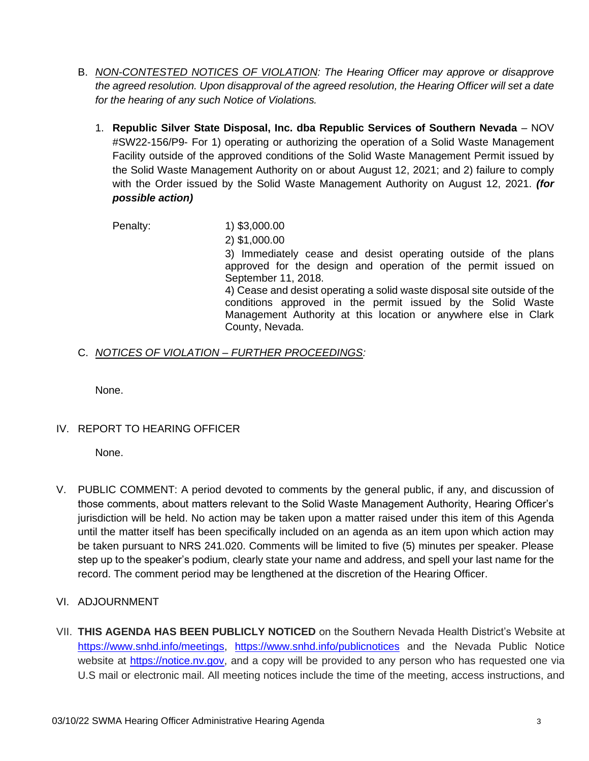- B. *NON-CONTESTED NOTICES OF VIOLATION: The Hearing Officer may approve or disapprove the agreed resolution. Upon disapproval of the agreed resolution, the Hearing Officer will set a date for the hearing of any such Notice of Violations.*
	- 1. **Republic Silver State Disposal, Inc. dba Republic Services of Southern Nevada** NOV #SW22-156/P9- For 1) operating or authorizing the operation of a Solid Waste Management Facility outside of the approved conditions of the Solid Waste Management Permit issued by the Solid Waste Management Authority on or about August 12, 2021; and 2) failure to comply with the Order issued by the Solid Waste Management Authority on August 12, 2021. *(for possible action)*

Penalty: 1) \$3,000.00 2) \$1,000.00 3) Immediately cease and desist operating outside of the plans approved for the design and operation of the permit issued on September 11, 2018. 4) Cease and desist operating a solid waste disposal site outside of the conditions approved in the permit issued by the Solid Waste Management Authority at this location or anywhere else in Clark County, Nevada.

#### C. *NOTICES OF VIOLATION – FURTHER PROCEEDINGS:*

None.

# IV. REPORT TO HEARING OFFICER

None.

- V. PUBLIC COMMENT: A period devoted to comments by the general public, if any, and discussion of those comments, about matters relevant to the Solid Waste Management Authority, Hearing Officer's jurisdiction will be held. No action may be taken upon a matter raised under this item of this Agenda until the matter itself has been specifically included on an agenda as an item upon which action may be taken pursuant to NRS 241.020. Comments will be limited to five (5) minutes per speaker. Please step up to the speaker's podium, clearly state your name and address, and spell your last name for the record. The comment period may be lengthened at the discretion of the Hearing Officer.
- VI. ADJOURNMENT
- VII. **THIS AGENDA HAS BEEN PUBLICLY NOTICED** on the Southern Nevada Health District's Website at [https://www.snhd.info/meetings,](https://www.snhd.info/meetings) <https://www.snhd.info/publicnotices> and the Nevada Public Notice website at [https://notice.nv.gov,](https://notice.nv.gov/) and a copy will be provided to any person who has requested one via U.S mail or electronic mail. All meeting notices include the time of the meeting, access instructions, and